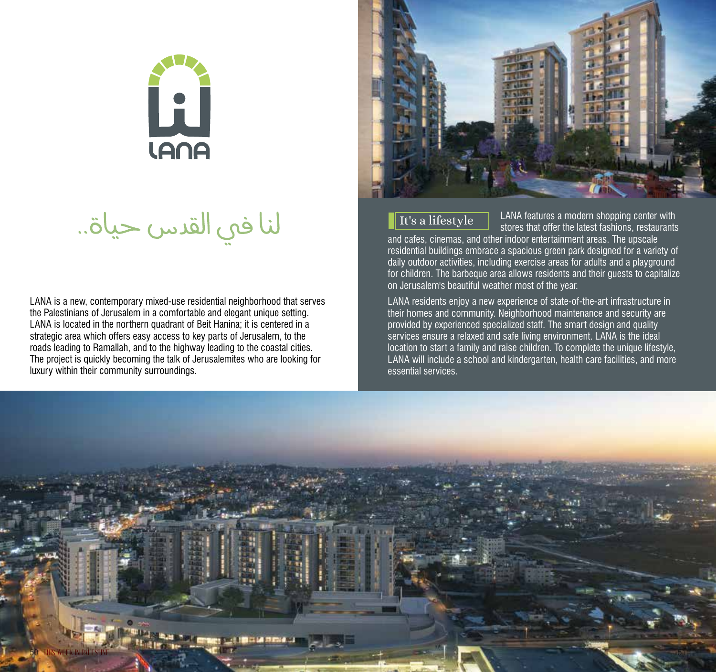

لنا في القدس حياة..

LANA is a new, contemporary mixed-use residential neighborhood that serves the Palestinians of Jerusalem in a comfortable and elegant unique setting. LANA is located in the northern quadrant of Beit Hanina; it is centered in a strategic area which offers easy access to key parts of Jerusalem, to the roads leading to Ramallah, and to the highway leading to the coastal cities. The project is quickly becoming the talk of Jerusalemites who are looking for luxury within their community surroundings.



# It's a lifestyle

LANA features a modern shopping center with stores that offer the latest fashions, restaurants

and cafes, cinemas, and other indoor entertainment areas. The upscale residential buildings embrace a spacious green park designed for a variety of daily outdoor activities, including exercise areas for adults and a playground for children. The barbeque area allows residents and their guests to capitalize on Jerusalem's beautiful weather most of the year.

LANA residents enjoy a new experience of state-of-the-art infrastructure in their homes and community. Neighborhood maintenance and security are provided by experienced specialized staff. The smart design and quality services ensure a relaxed and safe living environment. LANA is the ideal location to start a family and raise children. To complete the unique lifestyle, LANA will include a school and kindergarten, health care facilities, and more essential services.

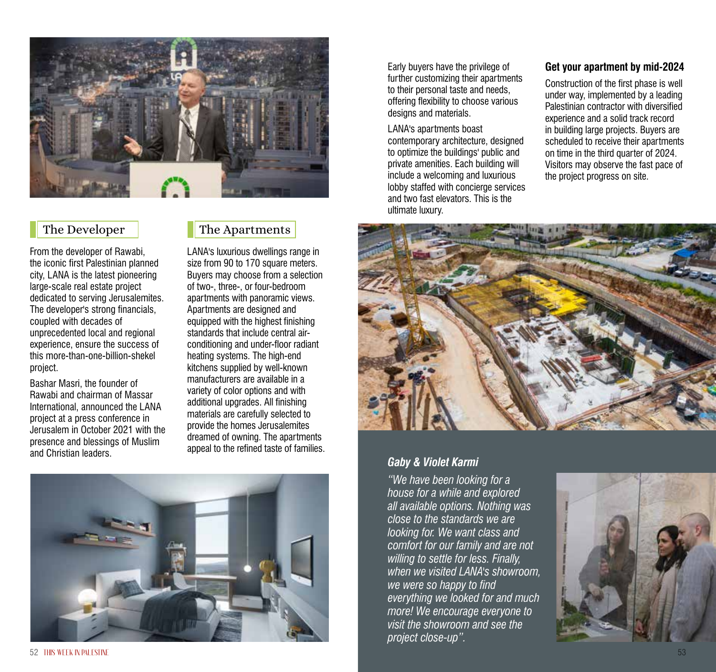

From the developer of Rawabi, the iconic first Palestinian planned city, LANA is the latest pioneering large-scale real estate project dedicated to serving Jerusalemites. The developer's strong financials, coupled with decades of unprecedented local and regional experience, ensure the success of this more-than-one-billion-shekel project.

Bashar Masri, the founder of Rawabi and chairman of Massar International, announced the LANA project at a press conference in Jerusalem in October 2021 with the presence and blessings of Muslim and Christian leaders.

# The Developer The Apartments

LANA's luxurious dwellings range in size from 90 to 170 square meters. Buyers may choose from a selection of two-, three-, or four-bedroom apartments with panoramic views. Apartments are designed and equipped with the highest finishing standards that include central airconditioning and under-floor radiant heating systems. The high-end kitchens supplied by well-known manufacturers are available in a variety of color options and with additional upgrades. All finishing materials are carefully selected to provide the homes Jerusalemites dreamed of owning. The apartments appeal to the refined taste of families.



Early buyers have the privilege of further customizing their apartments to their personal taste and needs, offering flexibility to choose various designs and materials.

LANA's apartments boast contemporary architecture, designed to optimize the buildings' public and private amenities. Each building will include a welcoming and luxurious lobby staffed with concierge services and two fast elevators. This is the ultimate luxury.

#### **Get your apartment by mid-2024**

Construction of the first phase is well under way, implemented by a leading Palestinian contractor with diversified experience and a solid track record in building large projects. Buyers are scheduled to receive their apartments on time in the third quarter of 2024. Visitors may observe the fast pace of the project progress on site.



# *Gaby & Violet Karmi*

*"We have been looking for a house for a while and explored all available options. Nothing was close to the standards we are looking for. We want class and comfort for our family and are not willing to settle for less. Finally, when we visited LANA's showroom, we were so happy to find everything we looked for and much more! We encourage everyone to visit the showroom and see the project close-up".*